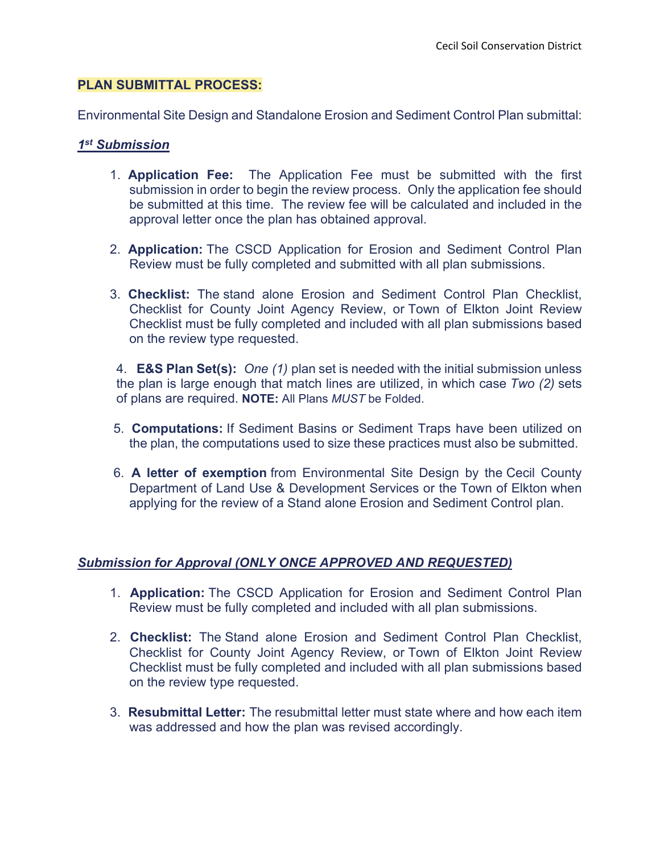## **PLAN SUBMITTAL PROCESS:**

Environmental Site Design and Standalone Erosion and Sediment Control Plan submittal:

## *1st Submission*

- 1. **Application Fee:** The Application Fee must be submitted with the first submission in order to begin the review process. Only the application fee should be submitted at this time. The review fee will be calculated and included in the approval letter once the plan has obtained approval.
- 2. **Application:** The CSCD Application for Erosion and Sediment Control Plan Review must be fully completed and submitted with all plan submissions.
- 3. **Checklist:** The stand alone Erosion and Sediment Control Plan Checklist, Checklist for County Joint Agency Review, or Town of Elkton Joint Review Checklist must be fully completed and included with all plan submissions based on the review type requested.

4. **E&S Plan Set(s):** *One (1)* plan set is needed with the initial submission unless the plan is large enough that match lines are utilized, in which case *Two (2)* sets of plans are required. **NOTE:** All Plans *MUST* be Folded.

- 5. **Computations:** If Sediment Basins or Sediment Traps have been utilized on the plan, the computations used to size these practices must also be submitted.
- 6. **A letter of exemption** from Environmental Site Design by the Cecil County Department of Land Use & Development Services or the Town of Elkton when applying for the review of a Stand alone Erosion and Sediment Control plan.

# *Submission for Approval (ONLY ONCE APPROVED AND REQUESTED)*

- 1. **Application:** The CSCD Application for Erosion and Sediment Control Plan Review must be fully completed and included with all plan submissions.
- 2. **Checklist:** The Stand alone Erosion and Sediment Control Plan Checklist, Checklist for County Joint Agency Review, or Town of Elkton Joint Review Checklist must be fully completed and included with all plan submissions based on the review type requested.
- 3. **Resubmittal Letter:** The resubmittal letter must state where and how each item was addressed and how the plan was revised accordingly.